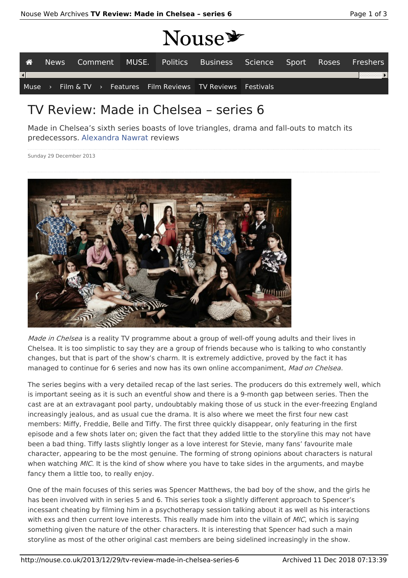# MOUSE

|                        |  |  | <b>TTAMA</b> |                                                               |  |                                                                   |
|------------------------|--|--|--------------|---------------------------------------------------------------|--|-------------------------------------------------------------------|
| 一谷                     |  |  |              |                                                               |  | News Comment MUSE. Politics Business Science Sport Roses Freshers |
| $\left  \cdot \right $ |  |  |              |                                                               |  |                                                                   |
|                        |  |  |              | Muse > Film & TV > Features Film Reviews TV Reviews Festivals |  |                                                                   |

# TV Review: Made in Chelsea – series 6

Made in Chelsea's sixth series boasts of love triangles, drama and fall-outs to match its predecessors. Alexandra Nawrat reviews

Sunday 29 December 2013



Made in Chelsea is a reality TV programme about a group of well-off young adults and their lives in Chelsea. It is too simplistic to say they are a group of friends because who is talking to who constantly changes, but that is part of the show's charm. It is extremely addictive, proved by the fact it has managed to continue for 6 series and now has its own online accompaniment, Mad on Chelsea.

The series begins with a very detailed recap of the last series. The producers do this extremely well, which is important seeing as it is such an eventful show and there is a 9-month gap between series. Then the cast are at an extravagant pool party, undoubtably making those of us stuck in the ever-freezing England increasingly jealous, and as usual cue the drama. It is also where we meet the first four new cast members: Miffy, Freddie, Belle and Tiffy. The first three quickly disappear, only featuring in the first episode and a few shots later on; given the fact that they added little to the storyline this may not have been a bad thing. Tiffy lasts slightly longer as a love interest for Stevie, many fans' favourite male character, appearing to be the most genuine. The forming of strong opinions about characters is natural when watching MIC. It is the kind of show where you have to take sides in the arguments, and maybe fancy them a little too, to really enjoy.

One of the main focuses of this series was Spencer Matthews, the bad boy of the show, and the girls he has been involved with in series 5 and 6. This series took a slightly different approach to Spencer's incessant cheating by filming him in a psychotherapy session talking about it as well as his interactions with exs and then current love interests. This really made him into the villain of MIC, which is saying something given the nature of the other characters. It is interesting that Spencer had such a main storyline as most of the other original cast members are being sidelined increasingly in the show.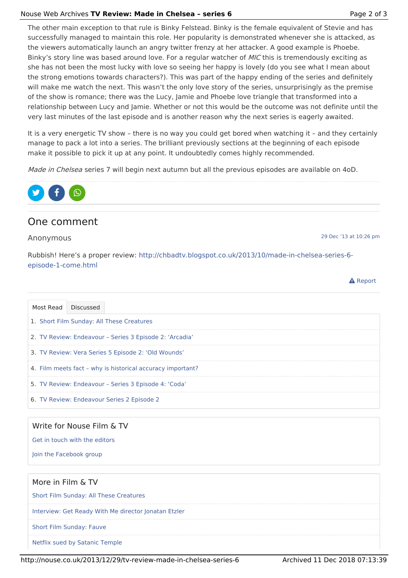#### Nouse Web Archives **TV Review: Made in Chelsea – series 6** Page 2 of 3

The other main exception to that rule is Binky Felstead. Binky is the female equivalent of Stevie and has successfully managed to maintain this role. Her popularity is demonstrated whenever she is attacked, as the viewers automatically launch an angry twitter frenzy at her attacker. A good example is Phoebe. Binky's story line was based around love. For a regular watcher of *MIC* this is tremendously exciting as she has not been the most lucky with love so seeing her happy is lovely (do you see what I mean about the strong emotions towards characters?). This was part of the happy ending of the series and definitely will make me watch the next. This wasn't the only love story of the series, unsurprisingly as the premise of the show is romance; there was the Lucy, Jamie and Phoebe love triangle that transformed into a relationship between Lucy and Jamie. Whether or not this would be the outcome was not definite until the very last minutes of the last episode and is another reason why the next series is eagerly awaited.

It is a very energetic TV show – there is no way you could get bored when watching it – and they certainly manage to pack a lot into a series. The brilliant previously sections at the beginning of each episode make it possible to pick it up at any point. It undoubtedly comes highly recommended.

Made in Chelsea series 7 will begin next autumn but all the previous episodes are available on 4oD.



## One comment

Anonymous

29 Dec '13 at 10:26 pm

**A** Report

Rubbish! Here's a proper review: http://chbadtv.blogspot.co.uk/2013/10/made-in-chelsea-series-6 episode-1-come.html

| Most Read Discussed                        |                                                         |                                                            |  |  |  |  |  |
|--------------------------------------------|---------------------------------------------------------|------------------------------------------------------------|--|--|--|--|--|
|                                            | 1. Short Film Sunday: All These Creatures               |                                                            |  |  |  |  |  |
|                                            | 2. TV Review: Endeavour – Series 3 Episode 2: 'Arcadia' |                                                            |  |  |  |  |  |
|                                            | 3. TV Review: Vera Series 5 Episode 2: 'Old Wounds'     |                                                            |  |  |  |  |  |
|                                            |                                                         | 4. Film meets fact – why is historical accuracy important? |  |  |  |  |  |
|                                            | 5. TV Review: Endeavour – Series 3 Episode 4: 'Coda'    |                                                            |  |  |  |  |  |
| 6. TV Review: Endeavour Series 2 Episode 2 |                                                         |                                                            |  |  |  |  |  |

### Write for Nouse Film & TV

Get in touch with the editors

Join the Facebook group

#### More in Film & TV

Short Film Sunday: All These Creatures

Interview: Get Ready With Me director Jonatan Etzler

Short Film Sunday: Fauve

Netflix sued by Satanic Temple